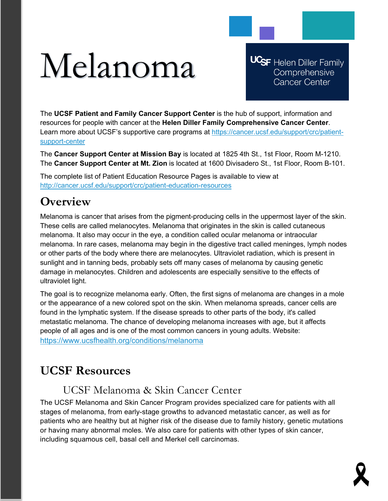# Melanoma

**UCSF** Helen Diller Family Comprehensive **Cancer Center** 

The **UCSF Patient and Family Cancer Support Center** is the hub of support, information and resources for people with cancer at the **Helen Diller Family Comprehensive Cancer Center**. Learn more about UCSF's supportive care programs at [https://cancer.ucsf.edu/support/crc/patient](https://cancer.ucsf.edu/support/crc/patient-support-center)[support-center](https://cancer.ucsf.edu/support/crc/patient-support-center)

The **Cancer Support Center at Mission Bay** is located at 1825 4th St., 1st Floor, Room M-1210. The **Cancer Support Center at Mt. Zion** is located at 1600 Divisadero St., 1st Floor, Room B-101.

The complete list of Patient Education Resource Pages is available to view at <http://cancer.ucsf.edu/support/crc/patient-education-resources>

## **Overview**

Melanoma is cancer that arises from the pigment-producing cells in the uppermost layer of the skin. These cells are called melanocytes. Melanoma that originates in the skin is called cutaneous melanoma. It also may occur in the eye, a condition called ocular melanoma or intraocular melanoma. In rare cases, melanoma may begin in the digestive tract called meninges, lymph nodes or other parts of the body where there are melanocytes. Ultraviolet radiation, which is present in sunlight and in tanning beds, probably sets off many cases of melanoma by causing genetic damage in melanocytes. Children and adolescents are especially sensitive to the effects of ultraviolet light.

The goal is to recognize melanoma early. Often, the first signs of melanoma are changes in a mole or the appearance of a new colored spot on the skin. When melanoma spreads, cancer cells are found in the lymphatic system. If the disease spreads to other parts of the body, it's called metastatic melanoma. The chance of developing melanoma increases with age, but it affects people of all ages and is one of the most common cancers in young adults. Website: <https://www.ucsfhealth.org/conditions/melanoma>

# **UCSF Resources**

## UCSF Melanoma & Skin Cancer Center

The UCSF Melanoma and Skin Cancer Program provides specialized care for patients with all stages of melanoma, from early-stage growths to advanced metastatic cancer, as well as for patients who are healthy but at higher risk of the disease due to family history, genetic mutations or having many abnormal moles. We also care for patients with other types of skin cancer, including squamous cell, basal cell and Merkel cell carcinomas.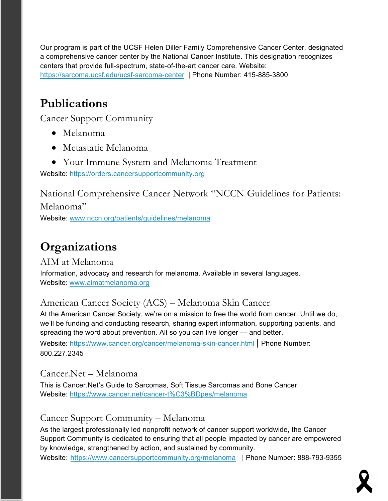Our program is part of the UCSF Helen Diller Family Comprehensive Cancer Center, designated a comprehensive cancer center by the National Cancer Institute. This designation recognizes centers that provide full-spectrum, state-of-the-art cancer care. Website: <https://sarcoma.ucsf.edu/ucsf-sarcoma-center> | Phone Number: 415-885-3800

# **Publications**

Cancer Support Community

- Melanoma
- Metastatic Melanoma
- Your Immune System and Melanoma Treatment

Website: [https://orders.cancersupportcommunity.org](https://orders.cancersupportcommunity.org/) 

National Comprehensive Cancer Network "NCCN Guidelines for Patients: Melanoma" Website: [www.nccn.org/patients/guidelines/melanoma](http://www.nccn.org/patients/guidelines/melanoma)

# **Organizations**

AIM at Melanoma Information, advocacy and research for melanoma. Available in several languages. Website: [www.aimatmelanoma.org](http://www.aimatmelanoma.org/)

## American Cancer Society (ACS) – Melanoma Skin Cancer

At the American Cancer Society, we're on a mission to free the world from cancer. Until we do, we'll be funding and conducting research, sharing expert information, supporting patients, and spreading the word about prevention. All so you can live longer — and better.

Website: <https://www.cancer.org/cancer/melanoma-skin-cancer.html> | Phone Number: 800.227.2345

Cancer.Net – Melanoma This is Cancer.Net's Guide to Sarcomas, Soft Tissue Sarcomas and Bone Cancer

Website:<https://www.cancer.net/cancer-t%C3%BDpes/melanoma>

## Cancer Support Community – Melanoma

As the largest professionally led nonprofit network of cancer support worldwide, the Cancer Support Community is dedicated to ensuring that all people impacted by cancer are empowered by knowledge, strengthened by action, and sustained by community.

Website: <https://www.cancersupportcommunity.org/melanoma> | Phone Number: 888-793-9355